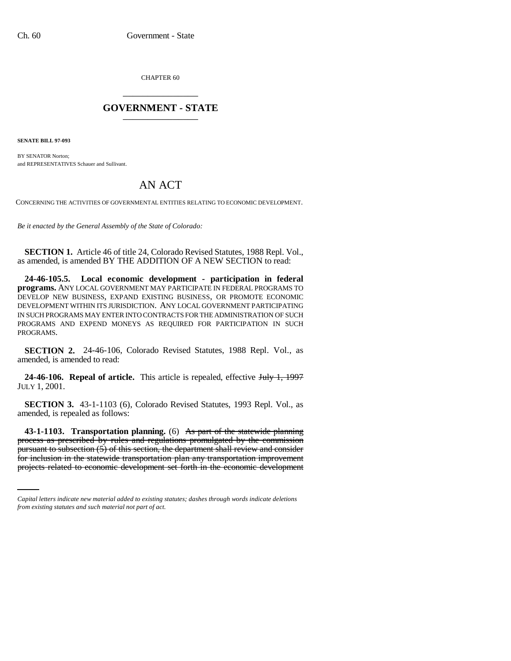CHAPTER 60 \_\_\_\_\_\_\_\_\_\_\_\_\_\_\_

## **GOVERNMENT - STATE** \_\_\_\_\_\_\_\_\_\_\_\_\_\_\_

**SENATE BILL 97-093**

BY SENATOR Norton; and REPRESENTATIVES Schauer and Sullivant.

## AN ACT

CONCERNING THE ACTIVITIES OF GOVERNMENTAL ENTITIES RELATING TO ECONOMIC DEVELOPMENT.

*Be it enacted by the General Assembly of the State of Colorado:*

**SECTION 1.** Article 46 of title 24, Colorado Revised Statutes, 1988 Repl. Vol., as amended, is amended BY THE ADDITION OF A NEW SECTION to read:

**24-46-105.5. Local economic development - participation in federal programs.** ANY LOCAL GOVERNMENT MAY PARTICIPATE IN FEDERAL PROGRAMS TO DEVELOP NEW BUSINESS, EXPAND EXISTING BUSINESS, OR PROMOTE ECONOMIC DEVELOPMENT WITHIN ITS JURISDICTION. ANY LOCAL GOVERNMENT PARTICIPATING IN SUCH PROGRAMS MAY ENTER INTO CONTRACTS FOR THE ADMINISTRATION OF SUCH PROGRAMS AND EXPEND MONEYS AS REQUIRED FOR PARTICIPATION IN SUCH PROGRAMS.

**SECTION 2.** 24-46-106, Colorado Revised Statutes, 1988 Repl. Vol., as amended, is amended to read:

**24-46-106. Repeal of article.** This article is repealed, effective July 1, 1997 JULY 1, 2001.

**SECTION 3.** 43-1-1103 (6), Colorado Revised Statutes, 1993 Repl. Vol., as amended, is repealed as follows:

pursuant to subsection (5) of this section, the department shall review and consider **43-1-1103. Transportation planning.** (6) As part of the statewide planning process as prescribed by rules and regulations promulgated by the commission for inclusion in the statewide transportation plan any transportation improvement projects related to economic development set forth in the economic development

*Capital letters indicate new material added to existing statutes; dashes through words indicate deletions from existing statutes and such material not part of act.*